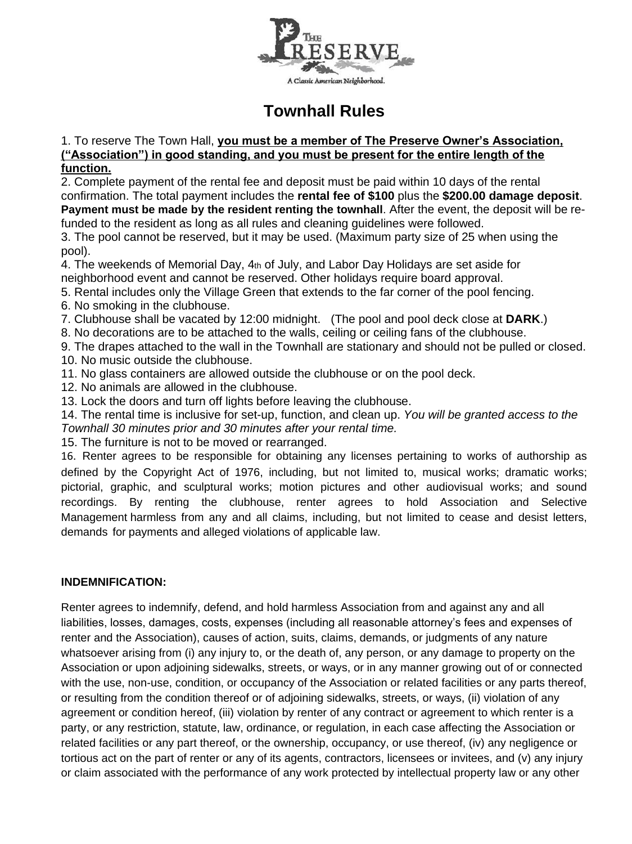

## **Townhall Rules**

## 1. To reserve The Town Hall, **you must be a member of The Preserve Owner's Association, ("Association") in good standing, and you must be present for the entire length of the function.**

2. Complete payment of the rental fee and deposit must be paid within 10 days of the rental confirmation. The total payment includes the **rental fee of \$100** plus the **\$200.00 damage deposit**. **Payment must be made by the resident renting the townhall**. After the event, the deposit will be refunded to the resident as long as all rules and cleaning guidelines were followed.

3. The pool cannot be reserved, but it may be used. (Maximum party size of 25 when using the pool).

4. The weekends of Memorial Day, 4th of July, and Labor Day Holidays are set aside for neighborhood event and cannot be reserved. Other holidays require board approval.

- 5. Rental includes only the Village Green that extends to the far corner of the pool fencing.
- 6. No smoking in the clubhouse.
- 7. Clubhouse shall be vacated by 12:00 midnight. (The pool and pool deck close at **DARK**.)

8. No decorations are to be attached to the walls, ceiling or ceiling fans of the clubhouse.

9. The drapes attached to the wall in the Townhall are stationary and should not be pulled or closed. 10. No music outside the clubhouse.

- 11. No glass containers are allowed outside the clubhouse or on the pool deck.
- 12. No animals are allowed in the clubhouse.
- 13. Lock the doors and turn off lights before leaving the clubhouse.

14. The rental time is inclusive for set-up, function, and clean up. *You will be granted access to the Townhall 30 minutes prior and 30 minutes after your rental time.*

15. The furniture is not to be moved or rearranged.

16. Renter agrees to be responsible for obtaining any licenses pertaining to works of authorship as defined by the Copyright Act of 1976, including, but not limited to, musical works; dramatic works; pictorial, graphic, and sculptural works; motion pictures and other audiovisual works; and sound recordings. By renting the clubhouse, renter agrees to hold Association and Selective Management harmless from any and all claims, including, but not limited to cease and desist letters, demands for payments and alleged violations of applicable law.

## **INDEMNIFICATION:**

Renter agrees to indemnify, defend, and hold harmless Association from and against any and all liabilities, losses, damages, costs, expenses (including all reasonable attorney's fees and expenses of renter and the Association), causes of action, suits, claims, demands, or judgments of any nature whatsoever arising from (i) any injury to, or the death of, any person, or any damage to property on the Association or upon adjoining sidewalks, streets, or ways, or in any manner growing out of or connected with the use, non-use, condition, or occupancy of the Association or related facilities or any parts thereof, or resulting from the condition thereof or of adjoining sidewalks, streets, or ways, (ii) violation of any agreement or condition hereof, (iii) violation by renter of any contract or agreement to which renter is a party, or any restriction, statute, law, ordinance, or regulation, in each case affecting the Association or related facilities or any part thereof, or the ownership, occupancy, or use thereof, (iv) any negligence or tortious act on the part of renter or any of its agents, contractors, licensees or invitees, and (v) any injury or claim associated with the performance of any work protected by intellectual property law or any other